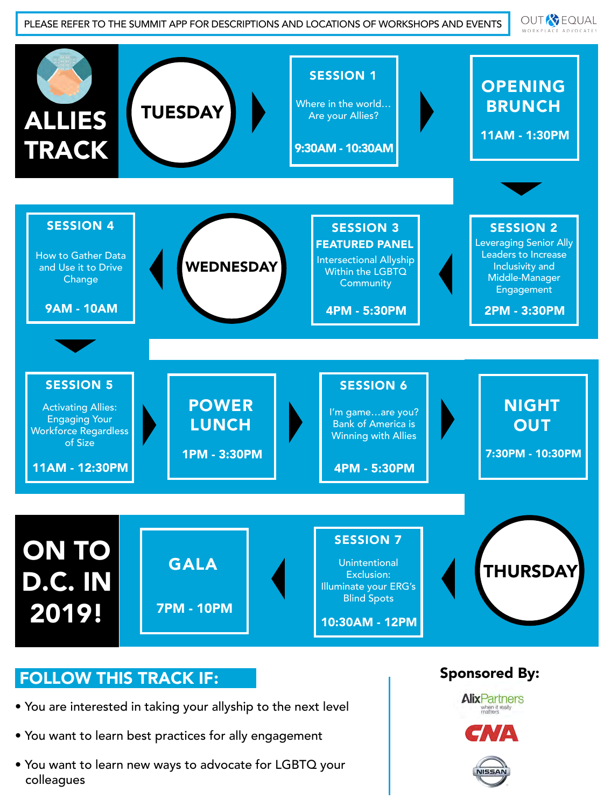**OUT & EQUAL** WORKPLACE ADVOCATES



#### FOLLOW THIS TRACK IF:

- You are interested in taking your allyship to the next level
- You want to learn best practices for ally engagement
- You want to learn new ways to advocate for LGBTQ your colleagues

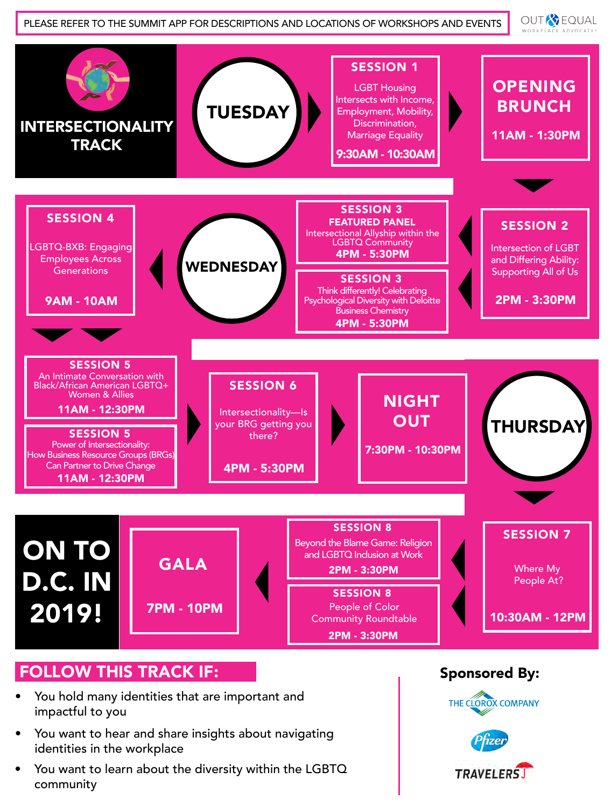**OUT & EQUAL** WORKPLACE ADVOCATES



## FOLLOW THIS TRACK IF:

- You hold many identities that are important and impactful to you
- You want to hear and share insights about navigating identities in the workplace
- You want to learn about the diversity within the LGBTQ community

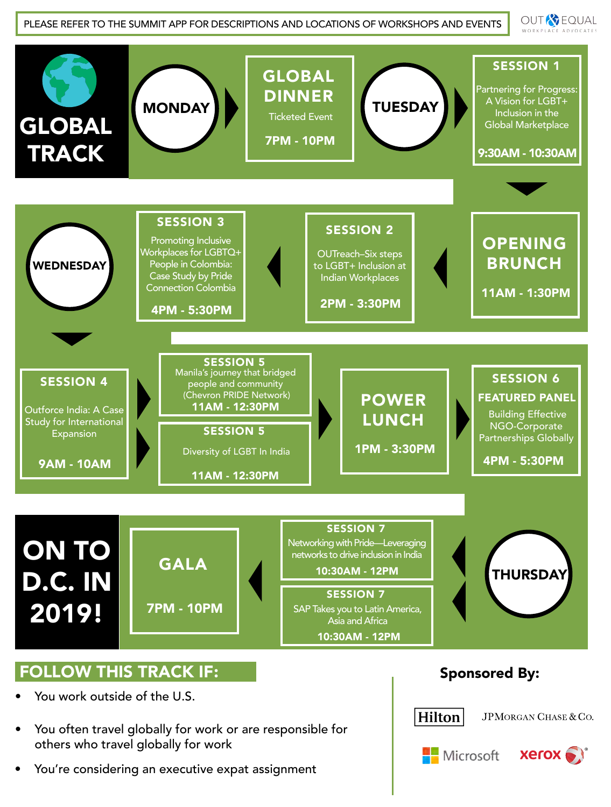**OUT & EQUAL** WORKPLACE ADVOCAT



- You work outside of the U.S.
- You often travel globally for work or are responsible for others who travel globally for work
- You're considering an executive expat assignment

#### Sponsored By:



JPMORGAN CHASE & CO.



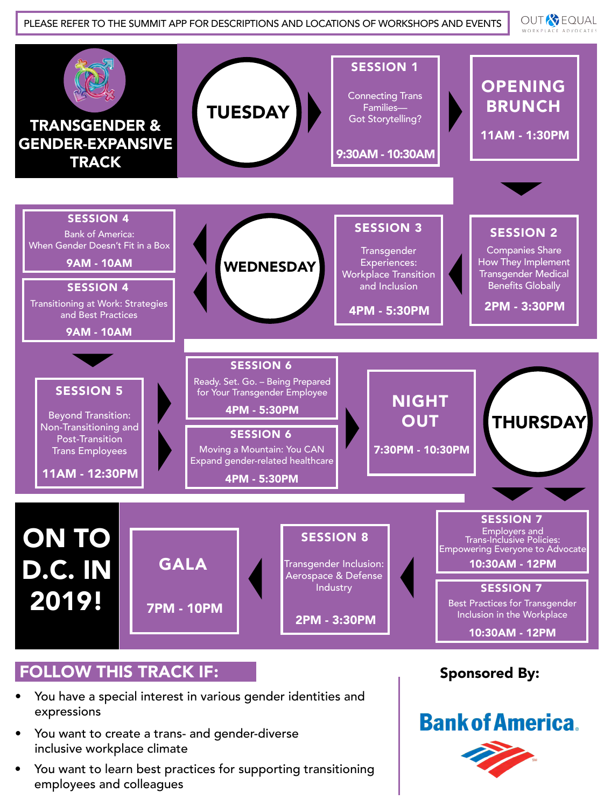**OUT & EQUAL** WORKPLACE ADVOCATES



## FOLLOW THIS TRACK IF:

- You have a special interest in various gender identities and expressions
- You want to create a trans- and gender-diverse inclusive workplace climate
- You want to learn best practices for supporting transitioning employees and colleagues

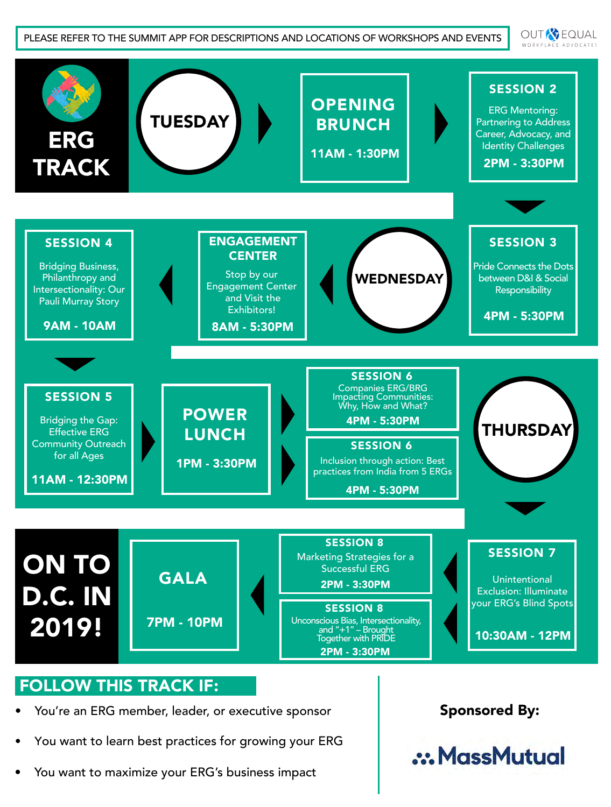OUT<sup>R</sup> EQUAL WORKPLACE ADVOCATES



- You're an ERG member, leader, or executive sponsor
- You want to learn best practices for growing your ERG
- You want to maximize your ERG's business impact

Sponsored By:

.: MassMutual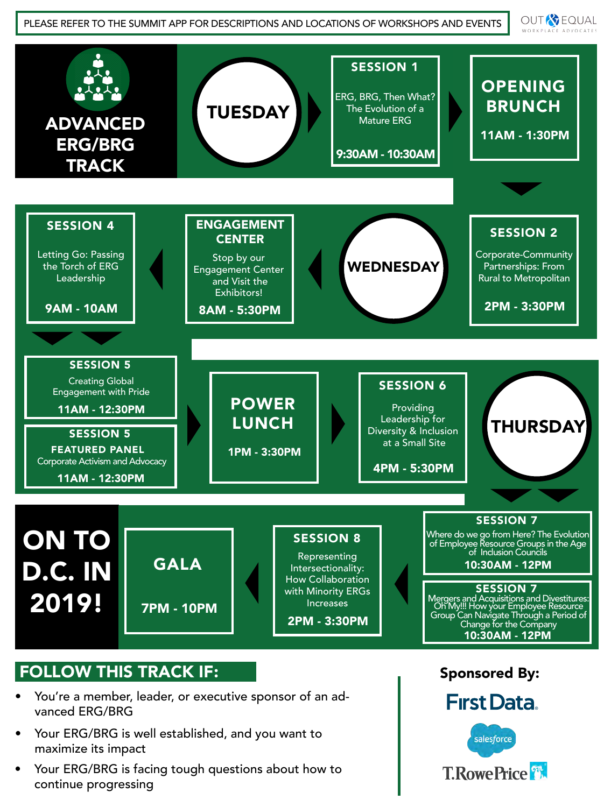**OUT & EQUAL** WORKPLACE ADVOCATES

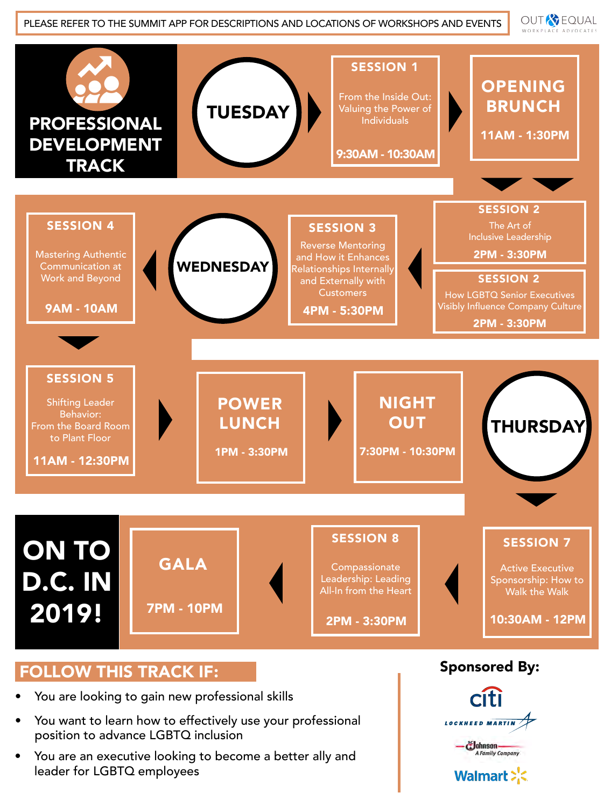**OUT & EQUAL** WORKPLACE ADVOCATES



#### FOLLOW THIS TRACK IF:

- You are looking to gain new professional skills
- You want to learn how to effectively use your professional position to advance LGBTQ inclusion
- You are an executive looking to become a better ally and leader for LGBTQ employees

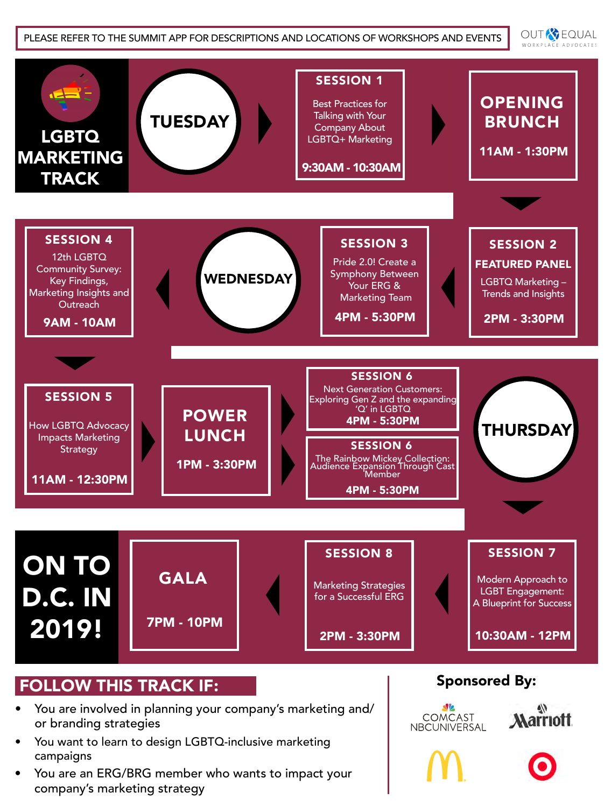**OUT & EQUAL** WORKPLACE ADVOCATES



- You are involved in planning your company's marketing and/ or branding strategies
- You want to learn to design LGBTQ-inclusive marketing campaigns
- You are an ERG/BRG member who wants to impact your company's marketing strategy

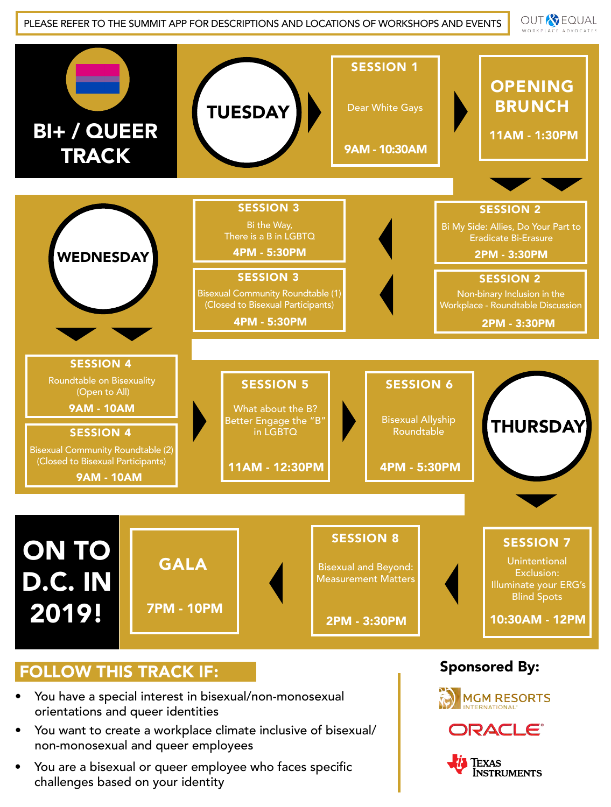**OUT & EQUAL** WORKPLACE ADVOCATES



## FOLLOW THIS TRACK IF:

- You have a special interest in bisexual/non-monosexual orientations and queer identities
- You want to create a workplace climate inclusive of bisexual/ non-monosexual and queer employees
- You are a bisexual or queer employee who faces specific challenges based on your identity





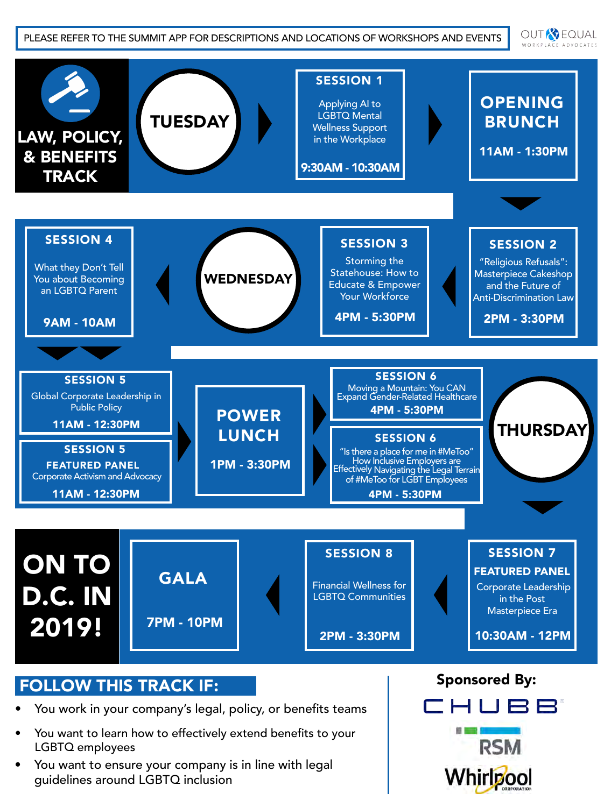OUT<sup>R</sup> EQUAL WORKPLACE ADVOCATES



- You want to learn how to effectively extend benefits to your LGBTQ employees
- You want to ensure your company is in line with legal guidelines around LGBTQ inclusion

■ ■■ ■ **RSM** 

Whirlpool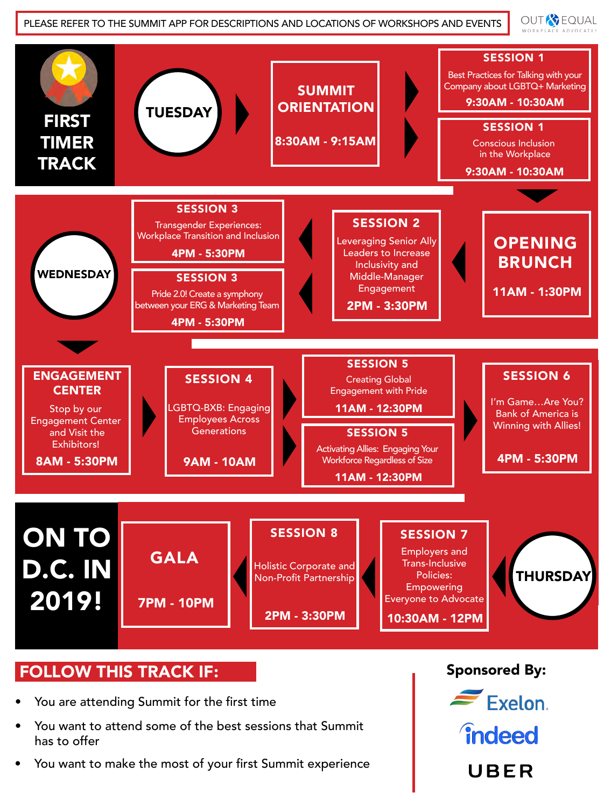**OUT & EQUAL** WORKPLACE ADVOCAT



## FOLLOW THIS TRACK IF:

- You are attending Summit for the first time
- You want to attend some of the best sessions that Summit has to offer
- You want to make the most of your first Summit experience